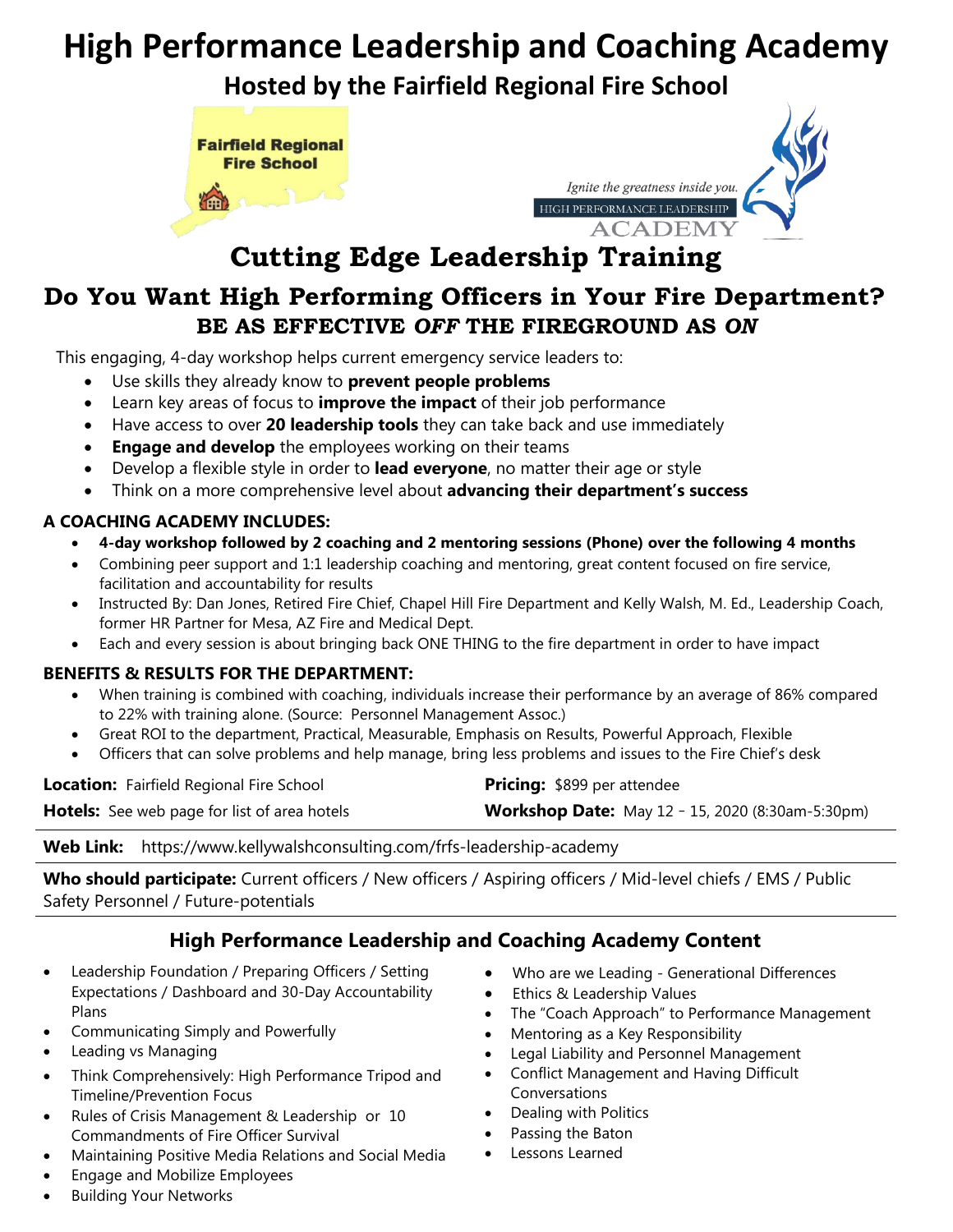# **High Performance Leadership and Coaching Academy**

**Hosted by the Fairfield Regional Fire School**





## **Cutting Edge Leadership Training**

### **Do You Want High Performing Officers in Your Fire Department? BE AS EFFECTIVE** *OFF* **THE FIREGROUND AS** *ON*

This engaging, 4-day workshop helps current emergency service leaders to:

- Use skills they already know to **prevent people problems**
- Learn key areas of focus to **improve the impact** of their job performance
- Have access to over **20 leadership tools** they can take back and use immediately
- **Engage and develop** the employees working on their teams
- Develop a flexible style in order to **lead everyone**, no matter their age or style
- Think on a more comprehensive level about **advancing their department's success**

#### **A COACHING ACADEMY INCLUDES:**

- **4-day workshop followed by 2 coaching and 2 mentoring sessions (Phone) over the following 4 months**
- Combining peer support and 1:1 leadership coaching and mentoring, great content focused on fire service, facilitation and accountability for results
- Instructed By: Dan Jones, Retired Fire Chief, Chapel Hill Fire Department and Kelly Walsh, M. Ed., Leadership Coach, former HR Partner for Mesa, AZ Fire and Medical Dept.
- Each and every session is about bringing back ONE THING to the fire department in order to have impact

#### **BENEFITS & RESULTS FOR THE DEPARTMENT:**

- When training is combined with coaching, individuals increase their performance by an average of 86% compared to 22% with training alone. (Source: Personnel Management Assoc.)
- Great ROI to the department, Practical, Measurable, Emphasis on Results, Powerful Approach, Flexible
- Officers that can solve problems and help manage, bring less problems and issues to the Fire Chief's desk

| <b>Location:</b> Fairfield Regional Fire School     | <b>Pricing: \$899 per attendee</b>                      |
|-----------------------------------------------------|---------------------------------------------------------|
| <b>Hotels:</b> See web page for list of area hotels | <b>Workshop Date:</b> May 12 - 15, 2020 (8:30am-5:30pm) |

**Web Link:** https://www.kellywalshconsulting.com/frfs-leadership-academy

**Who should participate:** Current officers / New officers / Aspiring officers / Mid-level chiefs / EMS / Public Safety Personnel / Future-potentials

### **High Performance Leadership and Coaching Academy Content**

- Leadership Foundation / Preparing Officers / Setting Expectations / Dashboard and 30-Day Accountability Plans
- Communicating Simply and Powerfully
- Leading vs Managing
- Think Comprehensively: High Performance Tripod and Timeline/Prevention Focus
- Rules of Crisis Management & Leadership or 10 Commandments of Fire Officer Survival
- Maintaining Positive Media Relations and Social Media
- Engage and Mobilize Employees
- Building Your Networks
- Who are we Leading Generational Differences
- Ethics & Leadership Values
- The "Coach Approach" to Performance Management
- Mentoring as a Key Responsibility
- Legal Liability and Personnel Management
- Conflict Management and Having Difficult Conversations
- Dealing with Politics
- Passing the Baton
- Lessons Learned